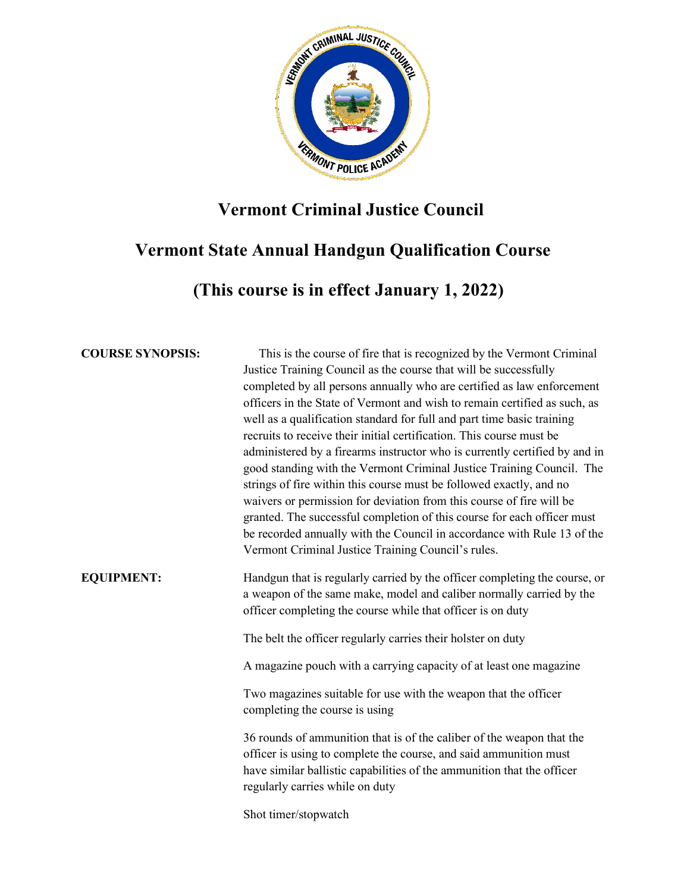

## **Vermont Criminal Justice Council**

# **Vermont State Annual Handgun Qualification Course**

 **(This course is in effect January 1, 2022)**

**COURSE SYNOPSIS:** This is the course of fire that is recognized by the Vermont Criminal Justice Training Council as the course that will be successfully completed by all persons annually who are certified as law enforcement officers in the State of Vermont and wish to remain certified as such, as well as a qualification standard for full and part time basic training recruits to receive their initial certification. This course must be administered by a firearms instructor who is currently certified by and in good standing with the Vermont Criminal Justice Training Council. The strings of fire within this course must be followed exactly, and no waivers or permission for deviation from this course of fire will be granted. The successful completion of this course for each officer must be recorded annually with the Council in accordance with Rule 13 of the Vermont Criminal Justice Training Council's rules.

**EQUIPMENT:** Handgun that is regularly carried by the officer completing the course, or a weapon of the same make, model and caliber normally carried by the officer completing the course while that officer is on duty

The belt the officer regularly carries their holster on duty

A magazine pouch with a carrying capacity of at least one magazine

Two magazines suitable for use with the weapon that the officer completing the course is using

36 rounds of ammunition that is of the caliber of the weapon that the officer is using to complete the course, and said ammunition must have similar ballistic capabilities of the ammunition that the officer regularly carries while on duty

Shot timer/stopwatch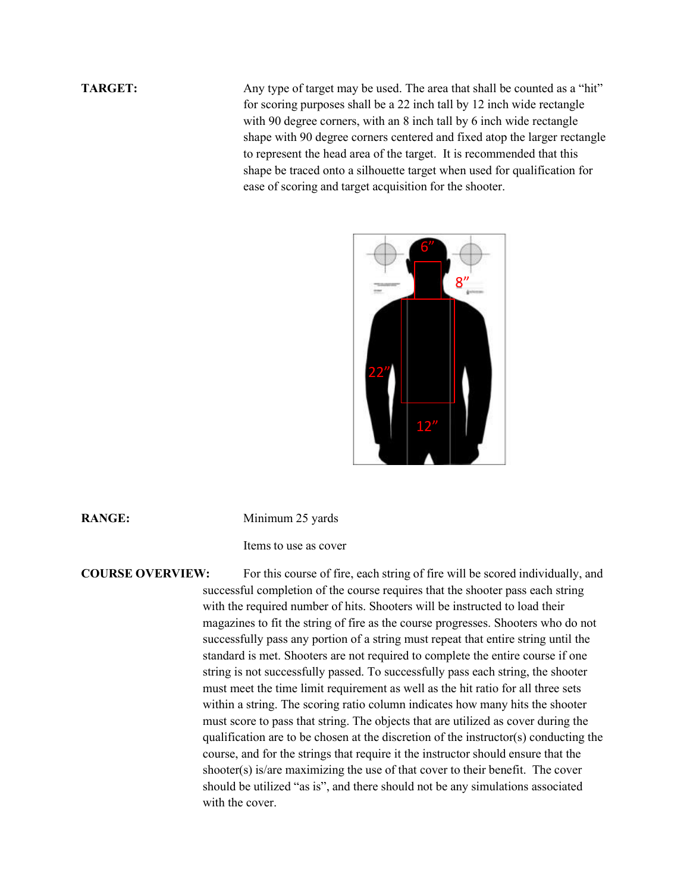**TARGET:** Any type of target may be used. The area that shall be counted as a "hit" for scoring purposes shall be a 22 inch tall by 12 inch wide rectangle with 90 degree corners, with an 8 inch tall by 6 inch wide rectangle shape with 90 degree corners centered and fixed atop the larger rectangle to represent the head area of the target. It is recommended that this shape be traced onto a silhouette target when used for qualification for ease of scoring and target acquisition for the shooter.



**RANGE:** Minimum 25 yards

Items to use as cover

### **COURSE OVERVIEW:** For this course of fire, each string of fire will be scored individually, and

successful completion of the course requires that the shooter pass each string with the required number of hits. Shooters will be instructed to load their magazines to fit the string of fire as the course progresses. Shooters who do not successfully pass any portion of a string must repeat that entire string until the standard is met. Shooters are not required to complete the entire course if one string is not successfully passed. To successfully pass each string, the shooter must meet the time limit requirement as well as the hit ratio for all three sets within a string. The scoring ratio column indicates how many hits the shooter must score to pass that string. The objects that are utilized as cover during the qualification are to be chosen at the discretion of the instructor(s) conducting the course, and for the strings that require it the instructor should ensure that the shooter(s) is/are maximizing the use of that cover to their benefit. The cover should be utilized "as is", and there should not be any simulations associated with the cover.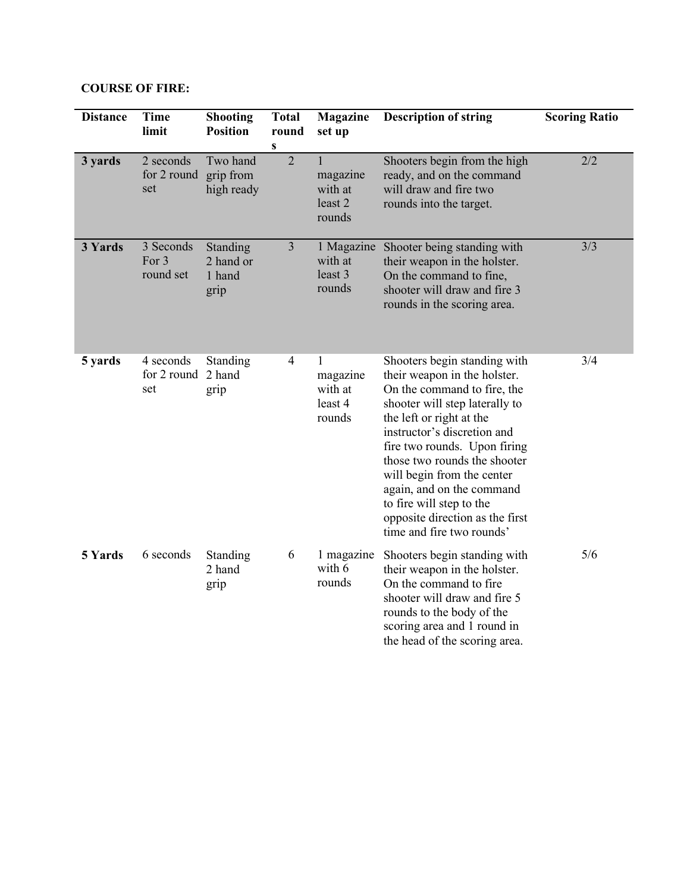| <b>COURSE OF FIRE:</b> |  |
|------------------------|--|
|------------------------|--|

| <b>Distance</b> | <b>Time</b><br>limit            | <b>Shooting</b><br><b>Position</b>      | <b>Total</b><br>round<br>S | <b>Magazine</b><br>set up                     | <b>Description of string</b>                                                                                                                                                                                                                                                                                                                                                                                    | <b>Scoring Ratio</b> |
|-----------------|---------------------------------|-----------------------------------------|----------------------------|-----------------------------------------------|-----------------------------------------------------------------------------------------------------------------------------------------------------------------------------------------------------------------------------------------------------------------------------------------------------------------------------------------------------------------------------------------------------------------|----------------------|
| 3 yards         | 2 seconds<br>for 2 round<br>set | Two hand<br>grip from<br>high ready     | $\overline{2}$             | magazine<br>with at<br>least 2<br>rounds      | Shooters begin from the high<br>ready, and on the command<br>will draw and fire two<br>rounds into the target.                                                                                                                                                                                                                                                                                                  | 2/2                  |
| 3 Yards         | 3 Seconds<br>For 3<br>round set | Standing<br>2 hand or<br>1 hand<br>grip | $\overline{3}$             | 1 Magazine<br>with at<br>least 3<br>rounds    | Shooter being standing with<br>their weapon in the holster.<br>On the command to fine,<br>shooter will draw and fire 3<br>rounds in the scoring area.                                                                                                                                                                                                                                                           | 3/3                  |
| 5 yards         | 4 seconds<br>for 2 round<br>set | Standing<br>2 hand<br>grip              | 4                          | 1<br>magazine<br>with at<br>least 4<br>rounds | Shooters begin standing with<br>their weapon in the holster.<br>On the command to fire, the<br>shooter will step laterally to<br>the left or right at the<br>instructor's discretion and<br>fire two rounds. Upon firing<br>those two rounds the shooter<br>will begin from the center<br>again, and on the command<br>to fire will step to the<br>opposite direction as the first<br>time and fire two rounds' | 3/4                  |
| 5 Yards         | 6 seconds                       | Standing<br>2 hand<br>grip              | 6                          | 1 magazine<br>with 6<br>rounds                | Shooters begin standing with<br>their weapon in the holster.<br>On the command to fire<br>shooter will draw and fire 5<br>rounds to the body of the<br>scoring area and 1 round in<br>the head of the scoring area.                                                                                                                                                                                             | 5/6                  |